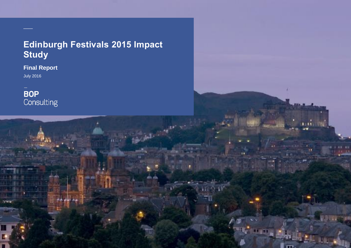# **Edinburgh Festivals 2015 Impact Study**

**Final Report**  July 2016

**\_\_**

**BOP**<br>Consulting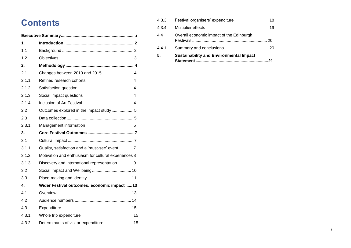# **Contents**

| 1.    |                                                      |    |  |
|-------|------------------------------------------------------|----|--|
| 1.1   |                                                      |    |  |
| 1.2   |                                                      |    |  |
| 2.    |                                                      |    |  |
| 2.1   | Changes between 2010 and 2015  4                     |    |  |
| 2.1.1 | Refined research cohorts                             | 4  |  |
| 2.1.2 | Satisfaction question                                | 4  |  |
| 2.1.3 | Social impact questions                              | 4  |  |
| 2.1.4 | Inclusion of Art Festival                            | 4  |  |
| 2.2   | Outcomes explored in the impact study  5             |    |  |
| 2.3   |                                                      |    |  |
| 2.3.1 | Management information                               | 5  |  |
| 3.    |                                                      |    |  |
| 3.1   |                                                      |    |  |
| 3.1.1 | Quality, satisfaction and a 'must-see' event         | 7  |  |
| 3.1.2 | Motivation and enthusiasm for cultural experiences 8 |    |  |
| 3.1.3 | Discovery and international representation           | 9  |  |
| 3.2   |                                                      |    |  |
| 3.3   |                                                      |    |  |
| 4.    | Wider Festival outcomes: economic impact 13          |    |  |
| 4.1   |                                                      |    |  |
| 4.2   |                                                      |    |  |
| 4.3   |                                                      |    |  |
| 4.3.1 | Whole trip expenditure                               | 15 |  |
| 4.3.2 | Determinants of visitor expenditure                  | 15 |  |

| 5.    | <b>Sustainability and Environmental Impact</b><br><b>Statement</b> | 21 |
|-------|--------------------------------------------------------------------|----|
| 4.4.1 | Summary and conclusions                                            | 20 |
| 4.4   | Overall economic impact of the Edinburgh                           | 20 |
| 4.3.4 | <b>Multiplier effects</b>                                          | 19 |
| 4.3.3 | Festival organisers' expenditure                                   | 18 |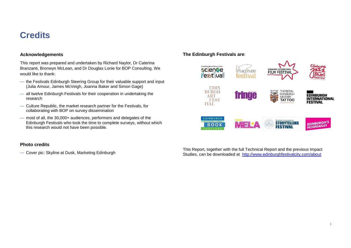# <span id="page-2-0"></span>**Credits**

### **Acknowledgements**

This report was prepared and undertaken by Richard Naylor, Dr Caterina Branzanti, Bronwyn McLean, and Dr Douglas Lonie for BOP Consulting. We would like to thank:

- the Festivals Edinburgh Steering Group for their valuable support and input (Julia Amour, James McVeigh, Joanna Baker and Simon Gage)
- all twelve Edinburgh Festivals for their cooperation in undertaking the research
- Culture Republic, the market research partner for the Festivals, for collaborating with BOP on survey dissemination
- most of all, the 30,000+ audiences, performers and delegates of the Edinburgh Festivals who took the time to complete surveys, without which this research would not have been possible.

## **Photo credits**

— Cover pic: Skyline at Dusk, Marketing Edinburgh

## **The Edinburgh Festivals are**:



This Report, together with the full Technical Report and the previous Impact Studies, can be downloaded at <http://www.edinburghfestivalcity.com/about>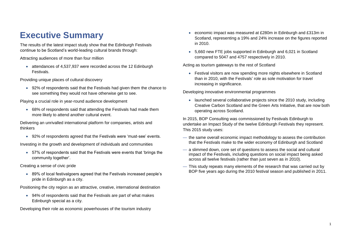# **Executive Summary**

The results of the latest impact study show that the Edinburgh Festivals continue to be Scotland's world-leading cultural brands through:

Attracting audiences of more than four million

 attendances of 4,537,937 were recorded across the 12 Edinburgh Festivals.

Providing unique places of cultural discovery

 92% of respondents said that the Festivals had given them the chance to see something they would not have otherwise get to see.

Playing a crucial role in year-round audience development

 68% of respondents said that attending the Festivals had made them more likely to attend another cultural event.

Delivering an unrivalled international platform for companies, artists and thinkers

92% of respondents agreed that the Festivals were 'must-see' events.

Investing in the growth and development of individuals and communities

 57% of respondents said that the Festivals were events that 'brings the community together'.

Creating a sense of civic pride

 89% of local festivalgoers agreed that the Festivals increased people's pride in Edinburgh as a city.

Positioning the city region as an attractive, creative, international destination

 94% of respondents said that the Festivals are part of what makes Edinburgh special as a city.

Developing their role as economic powerhouses of the tourism industry

- economic impact was measured at £280m in Edinburgh and £313m in Scotland, representing a 19% and 24% increase on the figures reported in 2010.
- 5,660 new FTE jobs supported in Edinburgh and 6,021 in Scotland compared to 5047 and 4757 respectively in 2010.

Acting as tourism gateways to the rest of Scotland

 Festival visitors are now spending more nights elsewhere in Scotland than in 2010, with the Festivals' role as sole motivation for travel increasing in significance.

Developing innovative environmental programmes

 launched several collaborative projects since the 2010 study, including Creative Carbon Scotland and the Green Arts Initiative, that are now both operating across Scotland.

In 2015, BOP Consulting was commissioned by Festivals Edinburgh to undertake an Impact Study of the twelve Edinburgh Festivals they represent. This 2015 study uses:

- the same overall economic impact methodology to assess the contribution that the Festivals make to the wider economy of Edinburgh and Scotland
- a slimmed down, core set of questions to assess the social and cultural impact of the Festivals, including questions on social impact being asked across all twelve festivals (rather than just seven as in 2010).
- This study repeats many elements of the research that was carried out by BOP five years ago during the 2010 festival season and published in 2011.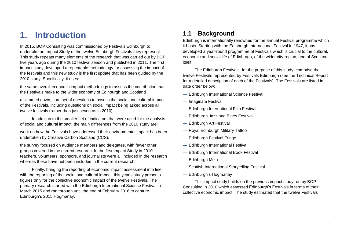# <span id="page-4-0"></span>**1. Introduction**

In 2015, BOP Consulting was commissioned by Festivals Edinburgh to undertake an Impact Study of the twelve Edinburgh Festivals they represent. This study repeats many elements of the research that was carried out by BOP five years ago during the 2010 festival season and published in 2011. The first impact study developed a repeatable methodology for assessing the impact of the festivals and this new study is the first update that has been guided by the 2010 study. Specifically, it uses:

the same overall economic impact methodology to assess the contribution that the Festivals make to the wider economy of Edinburgh and Scotland

a slimmed down, core set of questions to assess the social and cultural impact of the Festivals, including questions on social impact being asked across all twelve festivals (rather than just seven as in 2010).

In addition to the smaller set of indicators that were used for the analysis of social and cultural impact, the main differences from the 2010 study are:

work on how the Festivals have addressed their environmental impact has been undertaken by Creative Carbon Scotland (CCS).

the survey focused on audience members and delegates, with fewer other groups covered in the current research. In the first Impact Study in 2010 teachers, volunteers, sponsors, and journalists were all included in the research whereas these have not been included in the current research.

Finally, bringing the reporting of economic impact assessment into line with the reporting of the social and cultural impact, this year's study presents figures only for the collective economic impact of the twelve Festivals. The primary research started with the Edinburgh International Science Festival in March 2015 and ran through until the end of February 2016 to capture Edinburgh's 2015 Hogmanay.

# <span id="page-4-1"></span>**1.1 Background**

Edinburgh is internationally renowned for the annual Festival programme which it hosts. Starting with the Edinburgh International Festival in 1947, it has developed a year-round programme of Festivals which is crucial to the cultural, economic and social life of Edinburgh, of the wider city-region, and of Scotland itself.

The Edinburgh Festivals, for the purpose of this study, comprise the twelve Festivals represented by Festivals Edinburgh (see the Technical Report for a detailed description of each of the Festivals). The Festivals are listed in date order below:

- Edinburgh International Science Festival
- Imaginate Festival
- Edinburgh International Film Festival
- Edinburgh Jazz and Blues Festival
- Edinburgh Art Festival
- Royal Edinburgh Military Tattoo
- Edinburgh Festival Fringe
- Edinburgh International Festival
- Edinburgh International Book Festival
- Edinburgh Mela
- Scottish International Storytelling Festival
- Edinburgh's Hogmanay

This impact study builds on the previous impact study run by BOP Consulting in 2010 which assessed Edinburgh's Festivals in terms of their collective economic impact. The study estimated that the twelve Festivals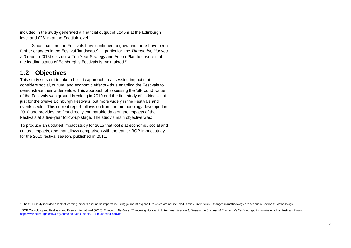included in the study generated a financial output of £245m at the Edinburgh level and £261m at the Scottish level.<sup>1</sup>

Since that time the Festivals have continued to grow and there have been further changes in the Festival 'landscape'. In particular, the *Thundering Hooves 2.0* report (2015) sets out a Ten Year Strategy and Action Plan to ensure that the leading status of Edinburgh's Festivals is maintained.<sup>2</sup>

# <span id="page-5-0"></span>**1.2 Objectives**

l

This study sets out to take a holistic approach to assessing impact that considers social, cultural and economic effects - thus enabling the Festivals to demonstrate their wider value. This approach of assessing the 'all-round' value of the Festivals was ground breaking in 2010 and the first study of its kind – not just for the twelve Edinburgh Festivals, but more widely in the Festivals and events sector. This current report follows on from the methodology developed in 2010 and provides the first directly comparable data on the impacts of the Festivals at a five-year follow-up stage. The study's main objective was:

To produce an updated impact study for 2015 that looks at economic, social and cultural impacts, and that allows comparison with the earlier BOP impact study for the 2010 festival season, published in 2011.

<sup>&</sup>lt;sup>1</sup> The 2010 study included a look at learning impacts and media impacts including journalist expenditure which are not included in this current study. Changes in methodology are set out in Section 2: Methodology.

<sup>&</sup>lt;sup>2</sup> BOP Consulting and Festivals and Events International (2015). Edinburgh Festivals: Thundering Hooves 2. A Ten Year Strategy to Sustain the Success of Edinburgh's Festival, report commissioned by Festivals Forum. <http://www.edinburghfestivalcity.com/about/documents/196-thundering-hooves>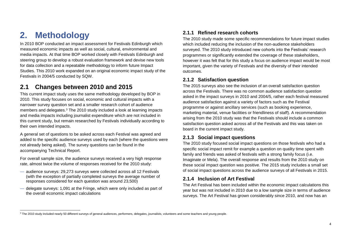# <span id="page-6-0"></span>**2. Methodology**

In 2010 BOP conducted an impact assessment for Festivals Edinburgh which measured economic impacts as well as social, cultural, environmental and media impacts. At that time BOP worked closely with Festivals Edinburgh and steering group to develop a robust evaluation framework and devise new tools for data collection and a repeatable methodology to inform future Impact Studies. This 2010 work expanded on an original economic impact study of the Festivals in 2004/5 conducted by SQW.

# <span id="page-6-1"></span>**2.1 Changes between 2010 and 2015**

This current impact study uses the same methodology developed by BOP in 2010. This study focuses on social, economic and cultural impacts with a narrower survey question set and a smaller research cohort of audience members and delegates.<sup>3</sup> The 2010 study included a look at learning impacts and media impacts including journalist expenditure which are not included in this current study, but remain researched by Festivals individually according to their own intended impacts.

A general set of questions to be asked across each Festival was agreed and added to the specific audience surveys used by each (where the questions were not already being asked). The survey questions can be found in the accompanying Technical Report.

For overall sample size, the audience surveys received a very high response rate, almost twice the volume of responses received for the 2010 study:

- audience surveys: 29,273 surveys were collected across all 12 Festivals (with the exception of partially completed surveys the average number of responses considered for each question was around 23,500)
- delegate surveys: 1,091 at the Fringe, which were only included as part of the overall economic impact calculations

## <span id="page-6-2"></span>**2.1.1 Refined research cohorts**

The 2010 study made some specific recommendations for future impact studies which included reducing the inclusion of the non-audience stakeholders surveyed. The 2010 study introduced new cohorts into the Festivals' research programmes or significantly extended the coverage of these stakeholders, however it was felt that for this study a focus on audience impact would be most important, given the variety of Festivals and the diversity of their intended outcomes.

## <span id="page-6-3"></span>**2.1.2 Satisfaction question**

The 2015 surveys also see the inclusion of an overall satisfaction question across the Festivals. There was no common audience satisfaction question asked in the impact surveys in 2010 and 2004/5, rather each festival measured audience satisfaction against a variety of factors such as the Festival programme or against ancillary services (such as booking experience, marketing material, venue facilities or friendliness of staff). A recommendation arising from the 2010 study was that the Festivals should include a common satisfaction question asked across all of the Festivals and this was taken on board in the current impact study.

## <span id="page-6-4"></span>**2.1.3 Social impact questions**

The 2010 study focused social impact questions on those festivals who had a specific social impact remit for example a question on quality time spent with family and friends was asked of festivals with a strong family focus (i.e. Imaginate or Mela). The overall response and results from the 2010 study on these social impact question was positive. The 2015 study includes a small set of social impact questions across the audience surveys of all Festivals in 2015.

## <span id="page-6-5"></span>**2.1.4 Inclusion of Art Festival**

The Art Festival has been included within the economic impact calculations this year but was not included in 2010 due to a low sample size in terms of audience surveys. The Art Festival has grown considerably since 2010, and now has an

 $\overline{a}$ <sup>3</sup> The 2010 study included nearly 50 different surveys of general audiences, performers, delegates, journalists, volunteers and some teachers and young people.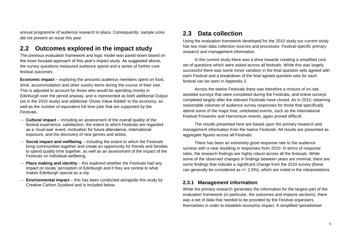annual programme of audience research in place. Consequently, sample sizes did not present an issue this year.

## <span id="page-7-0"></span>**2.2 Outcomes explored in the impact study**

The previous evaluation framework and logic model was pared-down based on the more focused approach of this year's impact study. As suggested above, the survey questions measured audience spend and a series of further core festival outcomes:

**Economic impact** – exploring the amounts audience members spent on food, drink, accommodation and other sundry items during the course of their visit. This is adjusted to account for those who would be spending money in Edinburgh over the period anyway, and is represented as both additional Output (as in the 2010 study) and additional 'Gross Value Added' to the economy, as well as the number of equivalent full time jobs that are supported by the Festivals.

- **Cultural impact** including an assessment of the overall quality of the festival experience, satisfaction, the extent to which Festivals are regarded as a 'must-see' event, motivation for future attendance, international exposure, and the discovery of new genres and artists.
- **Social impact and wellbeing** including the extent to which the Festivals bring communities together and create an opportunity for friends and families to spend quality time together, as well as an assessment of the impact of the Festivals on individual wellbeing.
- **Place making and identity** this explored whether the Festivals had any impact on locals' perception of Edinburgh and if they are central to what makes Edinburgh special as a city.
- **Environmental impact** this has been conducted alongside this study by Creative Carbon Scotland and is included below.

## <span id="page-7-1"></span>**2.3 Data collection**

Using the evaluation framework developed for the 2010 study our current study has two main data collection sources and processes: Festival-specific primary research and management information.

In the current study there was a drive towards creating a simplified core set of questions which were asked across all festivals. While this was largely successful there was some minor variation in the final question sets agreed with each Festival and a breakdown of the final agreed question sets for each festival can be seen in Appendix 2.

Across the twelve Festivals there was therefore a mixture of on-site assisted surveys that were completed during the Festivals, and online surveys completed largely after the relevant Festivals have closed. As in 2010, obtaining reasonable volumes of audience survey responses for those that specifically attend some of the major free, unticketed events, such as the International Festival Fireworks and Harmonium events, again proved difficult.

The results presented here are based upon the primary research and management information from the twelve Festivals. All results are presented as aggregate figures across all Festivals.

There has been an extremely good response rate to the audience surveys with a near doubling in responses from 2010. In terms of response rates, the research findings are highly robust across all the festivals. While some of the observed changes in findings between years are minimal, there are some findings that indicate a significant change from the 2010 survey (these can generally be considered as +/- 2.5%), which are noted in the interpretations.

### <span id="page-7-2"></span>**2.3.1 Management information**

While the primary research generates the information for the largest part of the evaluation framework (in particular, the outcomes and impacts sections), there was a set of data that needed to be provided by the Festival organisers themselves in order to establish economic impact. A simplified spreadsheet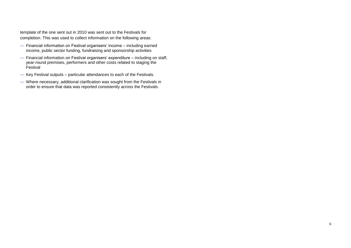template of the one sent out in 2010 was sent out to the Festivals for completion. This was used to collect information on the following areas:

- Financial information on Festival organisers' income including earned income, public sector funding, fundraising and sponsorship activities
- Financial information on Festival organisers' expenditure including on staff, year-round premises, performers and other costs related to staging the **Festival**
- Key Festival outputs particular attendances to each of the Festivals.
- Where necessary, additional clarification was sought from the Festivals in order to ensure that data was reported consistently across the Festivals.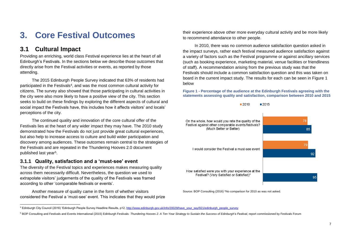# <span id="page-9-0"></span>**3. Core Festival Outcomes**

## <span id="page-9-1"></span>**3.1 Cultural Impact**

l

Providing an enriching, world class Festival experience lies at the heart of all Edinburgh's Festivals. In the sections below we describe those outcomes that directly arise from the Festival activities or events, as reported by those attending.

The 2015 Edinburgh People Survey indicated that 63% of residents had participated in the Festivals<sup>4</sup>, and was the most common cultural activity for citizens. The survey also showed that those participating in cultural activities in the city were also more likely to have a positive view of the city. This section seeks to build on these findings by exploring the different aspects of cultural and social impact the Festivals have, this includes how it affects visitors' and locals' perceptions of the city.

The continued quality and innovation of the core cultural offer of the Festivals lies at the heart of any wider impact they may have. The 2010 study demonstrated how the Festivals do not just provide great cultural experiences, but also help to increase access to culture and build wider participation and discovery among audiences. These outcomes remain central to the strategies of the Festivals and are repeated in the Thundering Hooves 2.0 document published last year<sup>5</sup>.

## <span id="page-9-2"></span>**3.1.1 Quality, satisfaction and a 'must-see' event**

The diversity of the Festival topics and experiences makes measuring quality across them necessarily difficult. Nevertheless, the question we used to extrapolate visitors' judgements of the quality of the Festivals was framed according to other 'comparable festivals or events'.

Another measure of quality came in the form of whether visitors considered the Festival a 'must-see' event. This indicates that they would prize

their experience above other more everyday cultural activity and be more likely to recommend attendance to other people.

In 2010, there was no common audience satisfaction question asked in the impact surveys, rather each festival measured audience satisfaction against a variety of factors such as the Festival programme or against ancillary services (such as booking experience, marketing material, venue facilities or friendliness of staff). A recommendation arising from the previous study was that the Festivals should include a common satisfaction question and this was taken on board in the current impact study. The results for each can be seen in [Figure 1](#page-9-3) below

<span id="page-9-3"></span>**Figure 1 - Percentage of the audience at the Edinburgh Festivals agreeing with the statements assessing quality and satisfaction, comparison between 2010 and 2015**

 $2015$ 

 $2010$ 



Source: BOP Consulting (2016) \*No comparison for 2010 as was not asked.

<sup>&</sup>lt;sup>4</sup> Edinburgh City Council (2016) 'Edinburgh People Survey Headline Results, p12[, http://www.edinburgh.gov.uk/info/20029/have\\_your\\_say/921/edinburgh\\_people\\_survey](http://www.edinburgh.gov.uk/info/20029/have_your_say/921/edinburgh_people_survey)

<sup>&</sup>lt;sup>5</sup> BOP Consulting and Festivals and Events International (2015) Edinburgh Festivals: Thundering Hooves 2. A Ten Year Strategy to Sustain the Success of Edinburgh's Festival, report commissioned by Festivals Forum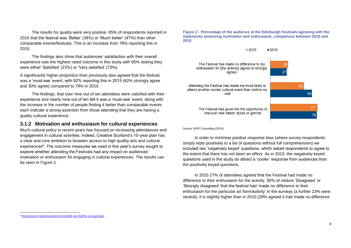The results for quality were very positive: 85% of respondents reported in 2015 that the festival was 'Better' (38%) or 'Much better' (47%) than other comparable events/festivals. This is an increase from 78% reporting this in 2010.

The findings also show that audiences' satisfaction with their overall experience was the highest rated outcome in this study with 95% stating they were either 'Satisfied' (23%) or 'Very satisfied' (73%).

A significantly higher proportion than previously also agreed that the festival was a 'must-see' event, with 92% reporting this in 2015 (62% strongly agree and 30% agree) compared to 79% in 2010.

The findings, that over nine out of ten attendees were satisfied with their experience and nearly nine out of ten felt it was a 'must-see' event, along with the increase in the number of people finding it better than comparable events each indicate a strong assertion from those attending that they are having a quality cultural experience.

### <span id="page-10-0"></span>**3.1.2 Motivation and enthusiasm for cultural experiences**

Much cultural policy in recent years has focused on increasing attendances and engagement in cultural activities. Indeed, Creative Scotland's 10-year plan has a clear and core ambition to broaden access to high quality arts and cultural experiences<sup>6</sup>. The outcome measures we used in this year's survey sought to explore whether attending the Festivals had any impact on audiences' motivation or enthusiasm for engaging in cultural experiences. The results can be seen in [Figure 2.](#page-10-1)

<span id="page-10-1"></span>**Figure 2 - Percentage of the audience at the Edinburgh Festivals agreeing with the statements assessing motivation and enthusiasm, comparison between 2010 and 2015**



Source: BOP Consulting (2016)

In order to minimise positive response bias (where survey respondents simply reply positively to a list of questions without full comprehension) we included two 'negatively keyed' questions, which asked respondents to agree to the extent that there has not been an effect. As in 2010, the negatively keyed questions used in the study do attract a 'cooler' response from audiences than the positively keyed questions.

In 2015 27% of attendees *agreed* that the Festival had made no difference to their enthusiasm for the activity, 50% of visitors 'Disagreed' or 'Strongly disagreed' that the festival had 'made *no* difference to their enthusiasm for the particular art form/activity' in the surveys (a further 23% were neutral), it is slightly higher than in 2010 (29% agreed it had made no difference

l

<sup>6</sup> <http://www.creativescotland.com/what-we-do/the-10-year-plan>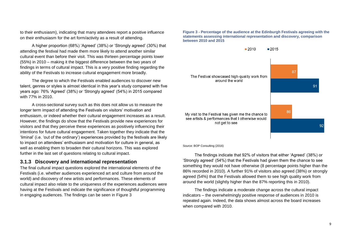to their enthusiasm), indicating that many attendees report a positive influence on their enthusiasm for the art form/activity as a result of attending.

A higher proportion (68%) 'Agreed' (38%) or 'Strongly agreed' (30%) that attending the festival had made them more likely to attend another similar cultural event than before their visit. This was thirteen percentage points lower (55%) in 2010 – making it the biggest difference between the two years of findings in terms of cultural impact. This is a very positive finding regarding the ability of the Festivals to increase cultural engagement more broadly.

The degree to which the Festivals enabled audiences to discover new talent, genres or styles is almost identical in this year's study compared with five years ago: 76% 'Agreed' (38%) or 'Strongly agreed' (54%) in 2015 compared with 77% in 2010.

A cross-sectional survey such as this does not allow us to measure the longer term impact of attending the Festivals on visitors' motivation and enthusiasm, or indeed whether their cultural engagement increases as a result. However, the findings do show that the Festivals provide new experiences for visitors and that they perceive these experiences as positively influencing their intentions for future cultural engagement. Taken together they indicate that the 'liminal' (i.e. 'out of the ordinary') experiences provided by the festivals are likely to impact on attendees' enthusiasm and motivation for culture in general, as well as enabling them to broaden their cultural horizons. This was explored further in the last set of questions relating to cultural impact.

### <span id="page-11-0"></span>**3.1.3 Discovery and international representation**

The final cultural impact questions explored the international elements of the Festivals (i.e. whether audiences experienced art and culture from around the world) and discovery of new artists and performances. These elements of cultural impact also relate to the uniqueness of the experiences audiences were having at the Festivals and indicate the significance of thoughtful programming in engaging audiences. The findings can be seen in [Figure 3](#page-11-1)

#### <span id="page-11-1"></span>**Figure 3 - Percentage of the audience at the Edinburgh Festivals agreeing with the statements assessing international representation and discovery, comparison between 2010 and 2015**



Source: BOP Consulting (2016)

The findings indicate that 92% of visitors that either 'Agreed' (38%) or 'Strongly agreed' (54%) that the Festivals had given them the chance to see something they would not have otherwise (8 percentage points higher than the 86% recorded in 2010). A further 91% of visitors also agreed (38%) or strongly agreed (54%) that the Festivals allowed them to see high quality work from around the world (slightly higher than the 87% reporting this in 2010).

The findings indicate a moderate change across the cultural impact indicators – the overwhelmingly positive response of audiences in 2010 is repeated again. Indeed, the data shows almost across the board increases when compared with 2010.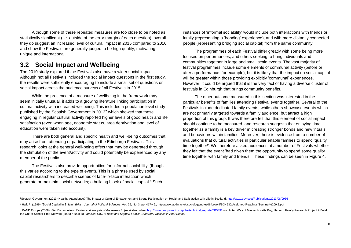Although some of these repeated measures are too close to be noted as statistically significant (i.e. outside of the error margin of each question), overall they do suggest an increased level of cultural impact in 2015 compared to 2010, and show the Festivals are generally judged to be high quality, motivating, unique and international.

# <span id="page-12-0"></span>**3.2 Social Impact and Wellbeing**

 $\overline{a}$ 

The 2010 study explored if the Festivals also have a wider social impact. Although not all Festivals included the social impact questions in the first study, the results were sufficiently encouraging to include a small set of questions on social impact across the audience surveys of all Festivals in 2015.

While the presence of a measure of wellbeing in the framework may seem initially unusual, it adds to a growing literature linking participation in cultural activity with increased wellbeing. This includes a population level study published by the Scottish Government in 2013<sup>7</sup> which showed that those engaging in regular cultural activity reported higher levels of good health and life satisfaction (even when age, economic status, area deprivation and level of education were taken into account).

There are both general and specific health and well-being outcomes that may arise from attending or participating in the Edinburgh Festivals. This research looks at the general well-being effect that may be generated through the stimulation of the event/activity and could potentially be experienced by any member of the public.

The Festivals also provide opportunities for 'informal sociability' (though this varies according to the type of event). This is a phrase used by social capital researchers to describe scenes of face-to-face interaction which generate or maintain social networks; a building block of social capital.<sup>8</sup> Such

instances of 'informal sociability' would include both interactions with friends or family (representing a 'bonding' experience), and with more distantly connected people (representing bridging social capital) from the same community.

The programmes of each Festival differ greatly with some being more focused on performances, and others seeking to bring individuals and communities together in large and small scale events. The vast majority of festival programmes include some elements of communal activity (before or after a performance, for example), but it is likely that the impact on social capital will be greater within those providing explicitly 'communal' experiences. However, it could be argued that it is the very fact of having a diverse cluster of festivals in Edinburgh that brings community benefits.

The other outcome measured in this section was interested in the particular benefits of families attending Festival events together. Several of the Festivals include dedicated family events, while others showcase events which are not primarily targeted towards a family audience, but attract a high proportion of this group. It was therefore felt that this element of social impact should continue to be measured, and research suggests that enjoying time together as a family is a key driver in creating stronger bonds and new 'rituals' and behaviours within families. Moreover, there is evidence from a number of evaluations that cultural activities in particular enable families to spend 'quality' time together<sup>9</sup>. We therefore asked audiences at a number of Festivals whether they felt that the event 'had given them the opportunity to spend some quality time together with family and friends'. These findings can be seen in [Figure 4.](#page-13-1)

<sup>&</sup>lt;sup>7</sup>Scottish Government (2013) Healthy Attendance? The Impact of Cultural Engagement and Sports Participation on Health and Satisfaction with Life in Scotland[, http://www.gov.scot/Publications/2013/08/9956](http://www.gov.scot/Publications/2013/08/9956)

<sup>&</sup>lt;sup>8</sup> Hall, P. (1999). 'Social Capital in Britain', *British Journal of Political Sciences*, Vol. 29, No. 3, pp. 417-46.[, http://www.abdn.ac.uk/sociology/notes06/Level4/SO4530/Assigned-Readings/Seminar%209.2.pdf](http://www.abdn.ac.uk/sociology/notes06/Level4/SO4530/Assigned-Readings/Seminar%209.2.pdf)

<sup>9</sup> RAND Europe (2008) Vital Communities: Review and analysis of the research. (Available online: http://www.randproject.org/pubs/technical reports/TR549/) or United Way of Massachusetts Bay. Harvard Family Research Project the Out-of-School Time Network (2006) *Focus on Families! How to Build and Support Family-Centered Practices in After School*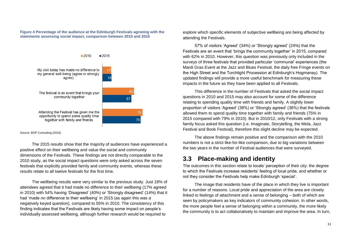#### <span id="page-13-1"></span>**Figure 4 Percentage of the audience at the Edinburgh Festivals agreeing with the statements assessing social impact, comparison between 2010 and 2015**



Source: BOP Consulting (2016)

The 2015 results show that the majority of audiences have experienced a positive effect on their wellbeing and value the social and community dimensions of the Festivals. These findings are not directly comparable to the 2010 study, as the social impact questions were only asked across the seven festivals that explicitly provided family and community events, whereas these results relate to all twelve festivals for the first time.

The wellbeing results were very similar to the previous study. Just 18% of attendees agreed that it had made no difference to their wellbeing (17% agreed in 2010) with 54% having 'Disagreed' (40%) or 'Strongly disagreed' (14%) that it had 'made *no* difference to their wellbeing' in 2015 (as again this was a negatively keyed question), compared to 55% in 2010. The consistency of this finding indicates that the Festivals are likely having some impact on people's individually assessed wellbeing, although further research would be required to

explore which specific elements of subjective wellbeing are being affected by attending the Festivals.

57% of visitors 'Agreed' (34%) or 'Strongly agreed' (24%) that the Festivals are an event that 'brings the community together' in 2015, compared with 62% in 2010. However, this question was previously only included in the surveys of three festivals that provided particular 'communal' experiences (the Mardi Gras Event at the Jazz and Blues Festival, the daily free Fringe events on the High Street and the Torchlight Procession at Edinburgh's Hogmanay). The updated findings will provide a more useful benchmark for measuring these impacts in the future as they have been applied to all Festivals.

This difference in the number of Festivals that asked the social impact questions in 2010 and 2015 may also account for some of the difference relating to spending quality time with friends and family. A slightly lower proportion of visitors 'Agreed' (39%) or 'Strongly agreed' (36%) that the festivals allowed them to spend quality time together with family and friends (75% in 2015 compared with 79% in 2010). But in 2010/12, only Festivals with a strong family focus asked this question (i.e. Imaginate, Storytelling, the Mela, Jazz Festival and Book Festival), therefore this slight decline may be expected.

The above findings remain positive and the comparison with the 2010 numbers is not a strict like-for-like comparison, due to big variations between the two years in the number of Festival audiences that were surveyed.

## <span id="page-13-0"></span>**3.3 Place-making and identity**

The outcomes in this section relate to locals' perception of their city: the degree to which the Festivals increase residents' feeling of local pride, and whether or not they consider the Festivals help make Edinburgh 'special'.

The image that residents have of the place in which they live is important for a number of reasons. Local pride and appreciation of the area are closely linked to feelings of attachment and a sense of belonging – both of which are seen by policymakers as key indicators of community cohesion. In other words, the more people feel a sense of belonging within a community, the more likely the community is to act collaboratively to maintain and improve the area. In turn,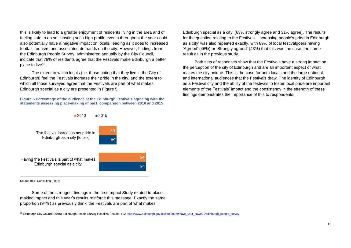this is likely to lead to a greater enjoyment of residents living in the area and of feeling safe to do so. Hosting such high profile events throughout the year could also potentially have a negative impact on locals, leading as it does to increased footfall, tourism, and associated demands on the city. However, findings from the Edinburgh People Survey, administered annually by the City Council, indicate that 78% of residents agree that the Festivals make Edinburgh a better place to live<sup>10</sup>.

The extent to which locals (i.e. those noting that they live in the City of Edinburgh) feel the Festivals increase their pride in the city, and the extent to which all those surveyed agree that the Festivals are part of what makes Edinburgh special as a city are presented in [Figure 5.](#page-14-0)

<span id="page-14-0"></span>**Figure 5 Percentage of the audience at the Edinburgh Festivals agreeing with the statements assessing place-making impact, comparison between 2010 and 2015**

Edinburgh special as a city' (63% strongly agree and 31% agree). The results for the question relating to the Festivals' 'increasing people's pride in Edinburgh as a city' was also repeated exactly, with 89% of local festivalgoers having 'Agreed' (46%) or 'Strongly agreed' (43%) that this was the case, the same result as in the previous study.

Both sets of responses show that the Festivals have a strong impact on the perception of the city of Edinburgh and are an important aspect of what makes the city unique. This is the case for both locals and the large national and international audiences that the Festivals draw. The identity of Edinburgh as a Festival city and the ability of the festivals to foster local pride are important elements of the Festivals' impact and the consistency in the strength of these findings demonstrates the importance of this to respondents.



Source BOP Consulting (2016)

 $\overline{a}$ 

Some of the strongest findings in the first Impact Study related to placemaking impact and this year's results reinforce this message. Exactly the same proportion (94%) as previously think 'the Festivals are part of what makes

<sup>&</sup>lt;sup>10</sup> Edinburgh City Council (2016) 'Edinburgh People Survey Headline Results, p92[, http://www.edinburgh.gov.uk/info/20029/have\\_your\\_say/921/edinburgh\\_people\\_survey](http://www.edinburgh.gov.uk/info/20029/have_your_say/921/edinburgh_people_survey)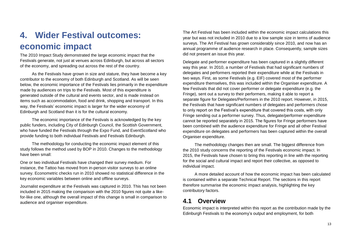# <span id="page-15-0"></span>**4. Wider Festival outcomes: economic impact**

The 2010 Impact Study demonstrated the large economic impact that the Festivals generate, not just at venues across Edinburgh, but across all sectors of the economy, and spreading out across the rest of the country.

As the Festivals have grown in size and stature, they have become a key contributor to the economy of both Edinburgh and Scotland. As will be seen below, the economic importance of the Festivals lies primarily in the expenditure made by audiences on trips to the Festivals. Most of this expenditure is generated outside of the cultural and events sector, and is made instead on items such as accommodation, food and drink, shopping and transport. In this way, the Festivals' economic impact is larger for the wider economy of Edinburgh and Scotland than it is for the cultural economy.

The economic importance of the Festivals is acknowledged by the key public funders, including City of Edinburgh Council, the Scottish Government, who have funded the Festivals through the Expo Fund, and EventScotland who provide funding to both individual Festivals and Festivals Edinburgh.

The methodology for conducting the economic impact element of this study follows the method used by BOP in 2010. Changes to the methodology have been small:

One or two individual Festivals have changed their survey medium. For instance, the Tattoo has moved from in-person visitor surveys to an online survey. Econometric checks run in 2010 showed no statistical difference in the key economic variables between online and offline surveys.

Journalist expenditure at the Festivals was captured in 2010. This has not been included in 2015 making the comparison with the 2010 figures not quite a likefor-like one, although the overall impact of this change is small in comparison to audience and organiser expenditure.

The Art Festival has been included within the economic impact calculations this year but was not included in 2010 due to a low sample size in terms of audience surveys. The Art Festival has grown considerably since 2010, and now has an annual programme of audience research in place. Consequently, sample sizes did not present an issue this year.

Delegate and performer expenditure has been captured in a slightly different way this year. In 2010, a number of Festivals that had significant numbers of delegates and performers reported their expenditure while at the Festivals in two ways. First, as some Festivals (e.g. EIF) covered most of the performer expenditure themselves, this was included within the Organiser expenditure. A few Festivals that did not cover performer or delegate expenditure (e.g. the Fringe), sent out a survey to their performers, making it able to report a separate figure for Delegates/Performers in the 2010 report. However, in 2015, the Festivals that have significant numbers of delegates and performers chose to only report on the Festival's expenditure that covered this costs, with only Fringe sending out a performer survey. Thus, delegate/performer expenditure cannot be reported separately in 2015. The figures for Fringe performers have been combined with the audience expenditure for Fringe and all other Festival expenditure on delegates and performers has been captured within the overall Organiser expenditure.

The methodology changes then are small. The biggest difference from the 2010 study concerns the reporting of the Festivals economic impact. In 2015, the Festivals have chosen to bring this reporting in line with the reporting for the social and cultural impact and report their collective, as opposed to individual impact.

A more detailed account of how the economic impact has been calculated is contained within a separate Technical Report. The sections in this report therefore summarise the economic impact analysis, highlighting the key contributory factors.

# <span id="page-15-1"></span>**4.1 Overview**

Economic impact is interpreted within this report as the contribution made by the Edinburgh Festivals to the economy's output and employment, for both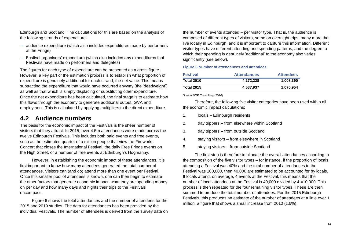Edinburgh and Scotland. The calculations for this are based on the analysis of the following strands of expenditure:

- audience expenditure (which also includes expenditures made by performers at the Fringe)
- Festival organisers' expenditure (which also includes any expenditures that Festivals have made on performers and delegates)

The figures for each type of expenditure can be presented as a gross figure. However, a key part of the estimation process is to establish what proportion of expenditure is genuinely additional for each strand, the net value. This means subtracting the expenditure that would have occurred anyway (the 'deadweight') as well as that which is simply displacing or substituting other expenditure. Once the net expenditure has been calculated, the final stage is to estimate how this flows through the economy to generate additional output, GVA and employment. This is calculated by applying multipliers to the direct expenditure.

## <span id="page-16-0"></span>**4.2 Audience numbers**

The basis for the economic impact of the Festivals is the sheer number of visitors that they attract. In 2015, over 4.5m attendances were made across the twelve Edinburgh Festivals. This includes both paid events and free events, such as the estimated quarter of a million people that view the Fireworks Concert that closes the International Festival, the daily Free Fringe events on the High Street, or a number of free events at Edinburgh's Hogmanay.

However, in establishing the economic impact of these attendances, it is first important to know how many attendees generated the total number of attendances. Visitors can (and do) attend more than one event per Festival. Once this smaller pool of attendees is known, one can then begin to estimate the other factors that generate economic impact: what they are spending money on per day and how many days and nights their trips to the Festivals encompass.

Figure 6 shows the total attendances and the number of attendees for the 2015 and 2010 studies. The data for attendances has been provided by the individual Festivals. The number of attendees is derived from the survey data on the number of events attended – per visitor type. That is, the audience is composed of different types of visitors, some on overnight trips, many more that live locally in Edinburgh, and it is important to capture this information. Different visitor types have different attending and spending patterns, and the degree to which their spending is genuinely 'additional' to the economy also varies significantly (see below).

#### **Figure 6 Number of attendances and attendees**

| <b>Festival</b>   | <b>Attendances</b> | <b>Attendees</b> |
|-------------------|--------------------|------------------|
| <b>Total 2010</b> | 4.272.228          | 1.008.390        |
| <b>Total 2015</b> | 4.537.937          | 1.070.954        |

Source BOP Consulting (2016)

Therefore, the following five visitor categories have been used within all the economic impact calculations:

- 1. locals Edinburgh residents
- 2. day trippers from elsewhere within Scotland
- 3. day trippers from outside Scotland
- 4. staying visitors from elsewhere in Scotland
- 5. staying visitors from outside Scotland

The first step is therefore to allocate the overall attendances according to the composition of the five visitor types – for instance, if the proportion of locals attending a Festival was 40% and the total number of attendances to the Festival was 100,000, then 40,000 are estimated to be accounted for by locals. If locals attend, on average, 4 events at the Festival, this means that the number of local attendees at the Festival is 40,000 divided by 4 =10,000. This process is then repeated for the four remaining visitor types. These are then summed to produce the total number of attendees. For the 2015 Edinburgh Festivals, this produces an estimate of the number of attendees at a little over 1 million, a figure that shows a small increase from 2010 (c.6%).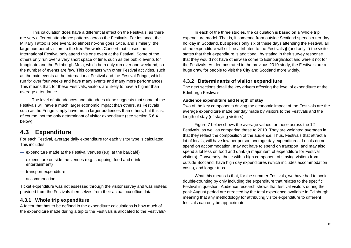This calculation does have a differential effect on the Festivals, as there are very different attendance patterns across the Festivals. For instance, the Military Tattoo is one event, so almost no-one goes twice, and similarly, the large number of visitors to the free Fireworks Concert that closes the International Festival only attend this one event at the Festival. Some of the others only run over a very short space of time, such as the public events for Imaginate and the Edinburgh Mela, which both only run over one weekend, so the number of events are few. This contrasts with other Festival activities, such as the paid events at the International Festival and the Festival Fringe, which run for over four weeks and have many events and many more performances. This means that, for these Festivals, visitors are likely to have a higher than average attendance.

The level of attendances and attendees alone suggests that some of the Festivals will have a much larger economic impact than others, as Festivals such as the Fringe simply have much larger audiences than others, but this is, of course, not the only determinant of visitor expenditure (see section 5.6.4 below).

## <span id="page-17-0"></span>**4.3 Expenditure**

For each Festival, average daily expenditure for each visitor type is calculated. This includes:

- expenditure made at the Festival venues (e.g. at the bar/café)
- expenditure outside the venues (e.g. shopping, food and drink, entertainment)
- transport expenditure
- accommodation

Ticket expenditure was not assessed through the visitor survey and was instead provided from the Festivals themselves from their actual box office data.

### <span id="page-17-1"></span>**4.3.1 Whole trip expenditure**

A factor that has to be defined in the expenditure calculations is how much of the expenditure made during a trip to the Festivals is allocated to the Festivals?

In each of the three studies, the calculation is based on a 'whole trip' expenditure model. That is, if someone from outside Scotland spends a ten-day holiday in Scotland, but spends only six of these days attending the Festival, all of the expenditure will still be attributed to the Festivals if (and only if) the visitor states that their expenditure is additional, by stating in their survey response that they would not have otherwise come to Edinburgh/Scotland were it not for the Festivals. As demonstrated in the previous 2010 study, the Festivals are a huge draw for people to visit the City and Scotland more widely.

## <span id="page-17-2"></span>**4.3.2 Determinants of visitor expenditure**

The next sections detail the key drivers affecting the level of expenditure at the Edinburgh Festivals.

### **Audience expenditure and length of stay**

Two of the key components driving the economic impact of the Festivals are the average expenditure made per day made by visitors to the Festivals and the length of stay (of staying visitors).

Figure 7 below shows the average values for these across the 12 Festivals, as well as comparing these to 2010. They are weighted averages in that they reflect the composition of the audience. Thus, Festivals that attract a lot of locals, will have low per person average day expenditures. Locals do not spend on accommodation, may not have to spend on transport, and may also spend a lot less on food and drink (a major item of expenditure for Festival visitors). Conversely, those with a high component of staying visitors from outside Scotland, have high day expenditures (which includes accommodation costs), and longer trips.

What this means is that, for the summer Festivals, we have had to avoid double-counting by only including the expenditure that relates to the specific Festival in question. Audience research shows that festival visitors during the peak August period are attracted by the total experience available in Edinburgh, meaning that any methodology for attributing visitor expenditure to different festivals can only be approximate.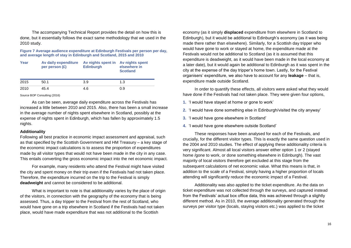The accompanying Technical Report provides the detail on how this is done, but it essentially follows the exact same methodology that we used in the 2010 study.

**Figure 7 Average audience expenditure at Edinburgh Festivals per person per day, and average length of stay in Edinburgh and Scotland, 2015 and 2010**

| Year | Av daily expenditure<br>per person $(E)$ | Av nights spent in<br><b>Edinburgh</b> | <b>Av nights spent</b><br>elsewhere in<br><b>Scotland</b> |
|------|------------------------------------------|----------------------------------------|-----------------------------------------------------------|
| 2015 | 50.1                                     | 3.9                                    | 1.3                                                       |
| 2010 | 45.4                                     | 4.6                                    | 0.9                                                       |

Source BOP Consulting (2016)

As can be seen, average daily expenditure across the Festivals has increased a little between 2010 and 2015. Also, there has been a small increase in the average number of nights spent elsewhere in Scotland, possibly at the expense of nights spent in Edinburgh, which has fallen by approximately 1.5 nights.

#### **Additionality**

Following all best practice in economic impact assessment and appraisal, such as that specified by the Scottish Government and HM Treasury – a key stage of the economic impact calculations is to assess the proportion of expenditures made by all visitor types that would not have been made in the city in any case. This entails converting the gross economic impact into the net economic impact.

For example, many residents who attend the Festival might have visited the city and spent money on their trip even if the Festivals had not taken place. Therefore, the expenditure incurred on the trip to the Festival is simply **deadweight** and cannot be considered to be additional.

What is important to note is that additionality varies by the place of origin of the visitors, in connection with the geography of the economy that is being assessed. Thus, a day tripper to the Festival from the rest of Scotland, who would have gone on a trip elsewhere in Scotland if the Festivals had not taken place, would have made expenditure that was not additional to the Scottish

economy (as it simply **displaced** expenditure from elsewhere in Scotland to Edinburgh), but it would be additional to Edinburgh's economy (as it was being made there rather than elsewhere). Similarly, for a Scottish day tripper who would have gone to work or stayed at home, the expenditure made at the Festivals would not be additional to Scotland (as it is assumed that this expenditure is deadweight, as it would have been made in the local economy at a later date), but it would again be additional to Edinburgh as it was spent in the city at the expense of the day tripper's home town. Lastly, for the Festival organisers' expenditure, we also have to account for any **leakage** – that is, expenditure made outside Scotland.

In order to quantify these effects, all visitors were asked what they would have done if the Festivals had not taken place. They were given four options,

- **1.** 'I would have stayed at home or gone to work'
- **2.** 'I would have done something else in Edinburgh/visited the city anyway'
- **3.** 'I would have gone elsewhere in Scotland'
- **4.** 'I would have gone elsewhere outside Scotland'

These responses have been analysed for each of the Festivals, and crucially, for the different visitor types. This is exactly the same question used in the 2004 and 2010 studies. The effect of applying these additionality criteria is very significant. Almost all local visitors answer either option 1 or 2 (stayed home /gone to work, or done something elsewhere in Edinburgh). The vast majority of local visitors therefore get excluded at this stage from the subsequent calculations of net economic value. What this means is that, in addition to the scale of a Festival, simply having a higher proportion of locals attending will significantly reduce the economic impact of a Festival.

Additionality was also applied to the ticket expenditure. As the data on ticket expenditure was not collected through the surveys, and captured instead from the Festivals' actual box office data, this was achieved through a slightly different method. As in 2010, the average additionality generated through the surveys per visitor type (locals, staying visitors etc.) was applied to the ticket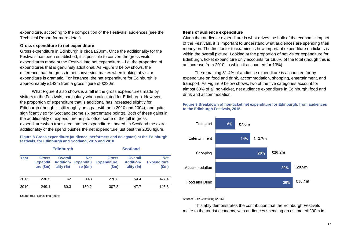expenditure, according to the composition of the Festivals' audiences (see the Technical Report for more detail).

#### **Gross expenditure to net expenditure**

Gross expenditure in Edinburgh is circa £230m, Once the additionality for the Festivals has been established, it is possible to convert the gross visitor expenditures made at the Festival into net expenditure – i.e. the proportion of expenditures that is genuinely additional. As Figure 8 below shows, the difference that the gross to net conversion makes when looking at visitor expenditure is dramatic. For instance, the net expenditure for Edinburgh is approximately £143m from a gross figure of £230m.

What Figure 8 also shows is a fall in the gross expenditures made by visitors to the Festivals, particularly when calculated for Edinburgh. However, the proportion of expenditure that is additional has increased slightly for Edinburgh (though is still roughly on a par with both 2010 and 2004), and quite significantly so for Scotland (some six percentage points). Both of these gains in the additionality of expenditure help to offset some of the fall in gross expenditure when translated into net expenditure. Indeed, in Scotland the extra additionality of the spend pushes the net expenditure just past the 2010 figure.

#### **Figure 8 Gross expenditure (audience, performers and delegates) at the Edinburgh festivals, for Edinburgh and Scotland, 2015 and 2010**

| <b>Edinburgh</b> |                                             |                                                    | <b>Scotland</b>                                    |                                                     |                                                    |                                          |
|------------------|---------------------------------------------|----------------------------------------------------|----------------------------------------------------|-----------------------------------------------------|----------------------------------------------------|------------------------------------------|
| Year             | <b>Gross</b><br><b>Expendit</b><br>ure (Em) | <b>Overall</b><br><b>Addition-</b><br>ality $(\%)$ | <b>Net</b><br><b>Expenditu</b><br>re $(\text{Em})$ | <b>Gross</b><br><b>Expenditure</b><br>$(\text{Em})$ | <b>Overall</b><br><b>Addition-</b><br>ality $(\%)$ | <b>Net</b><br><b>Expenditure</b><br>(£m) |
| 2015             | 230.5                                       | 62                                                 | 143                                                | 270.8                                               | 54.4                                               | 147.4                                    |
| 2010             | 249.1                                       | 60.3                                               | 150.2                                              | 307.8                                               | 47.7                                               | 146.8                                    |

Source BOP Consulting (2016)

#### **Items of audience expenditure**

Given that audience expenditure is what drives the bulk of the economic impact of the Festivals, it is important to understand what audiences are spending their money on. The first factor to examine is how important expenditure on tickets is within the overall picture. Looking at the proportion of net visitor expenditure for Edinburgh, ticket expenditure only accounts for 18.6% of the total (though this is an increase from 2010, in which it accounted for 13%).

The remaining 81.4% of audience expenditure is accounted for by expenditure on food and drink, accommodation, shopping, entertainment, and transport. As Figure 9 below shows, two of the five categories account for almost 60% of all non-ticket, net audience expenditure in Edinburgh: food and drink and accommodation.

**Figure 9 Breakdown of non-ticket net expenditure for Edinburgh, from audiences to the Edinburgh Festivals, 2015**



Source: BOP Consulting (2016)

This ably demonstrates the contribution that the Edinburgh Festivals make to the tourist economy, with audiences spending an estimated £30m in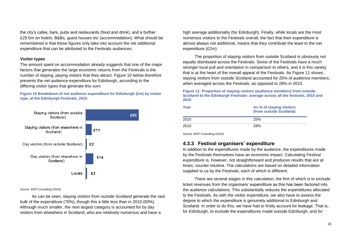the city's cafes, bars, pubs and restaurants (food and drink), and a further £29.5m on hotels, B&Bs, guest houses etc (accommodation). What should be remembered is that these figures only take into account the net additional expenditure that can be attributed to the Festivals audiences.

#### **Visitor types**

The amount spent on accommodation already suggests that one of the major factors that generates the large economic returns from the Festivals is the number of staying, paying visitors that they attract. Figure 10 below therefore presents the net audience expenditure for Edinburgh, according to the differing visitor types that generate this sum.

**Figure 10 Breakdown of net audience expenditure for Edinburgh (£m) by visitor type, at the Edinburgh Festivals, 2015**



#### Source: BOP Consulting (2016)

As can be seen, staying visitors from outside Scotland generate the vast bulk of the expenditure (76%), though this a little less than in 2010 (83%). Although much smaller, the next largest category is accounted for by day visitors from elsewhere in Scotland, who are relatively numerous and have a

high average additionality (for Edinburgh). Finally, while locals are the most numerous visitors to the Festivals overall, the fact that their expenditure is almost always not additional, means that they contribute the least to the net expenditure (£2m).

The proportion of staying visitors from outside Scotland is obviously not equally distributed across the Festivals. Some of the Festivals have a much stronger local pull and orientation in comparison to others, and it is this variety that is at the heart of the overall appeal of the Festivals. As Figure 11 shows, staying visitors from outside Scotland accounted for 25% of audience members, when averaged across the Festivals, as opposed to 28% in 2010.

#### **Figure 11: Proportion of staying visitors (audience members) from outside Scotland to the Edinburgh Festivals- average across all the festivals, 2015 and 2010**

| Year | Av % of staying visitors<br>(from outside Scotland) |
|------|-----------------------------------------------------|
| 2015 | 25%                                                 |
| 2010 | 28%                                                 |

Source: BOP Consulting (2016)

## <span id="page-20-0"></span>**4.3.3 Festival organisers' expenditure**

In addition to the expenditures made by the audience, the expenditures made by the Festivals themselves have an economic impact. Calculating Festival expenditure is, however, not straightforward and produces results that are at times, counter intuitive. The calculations are based on detailed information supplied to us by the Festivals, each of which is different.

There are several stages in this calculation, the first of which is to exclude ticket revenues from the organisers' expenditure as this has been factored into the audience calculations. This substantially reduces the expenditures allocated to the Festivals. As with the visitor expenditure, we also have to assess the degree to which the expenditure is genuinely additional to Edinburgh and Scotland. In order to do this, we have had to firstly account for leakage. That is, for Edinburgh, to exclude the expenditures made outside Edinburgh, and for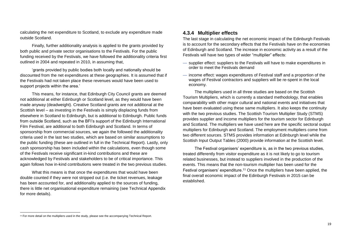calculating the net expenditure to Scotland, to exclude any expenditure made outside Scotland.

Finally, further additionality analysis is applied to the grants provided by both public and private sector organisations to the Festivals. For the public funding received by the Festivals, we have followed the additionality criteria first outlined in 2004 and repeated in 2010, in assuming that,

'grants provided by public bodies both locally and nationally should be discounted from the net expenditures at these geographies. It is assumed that if the Festivals had not taken place these revenues would have been used to support projects within the area.'

This means, for instance, that Edinburgh City Council grants are deemed not additional at either Edinburgh or Scotland level, as they would have been made anyway (deadweight). Creative Scotland grants are not additional at the Scottish level – as investing in the Festivals is simply displacing funds from elsewhere in Scotland to Edinburgh, but is additional to Edinburgh. Public funds from outside Scotland, such as the BFI's support of the Edinburgh International Film Festival, are additional to both Edinburgh and Scotland. In terms of sponsorship from commercial sources, we again the followed the additionality criteria used in the last two studies, which are based on similar assumptions to the public funding (these are outlined in full in the Technical Report). Lastly, only cash sponsorship has been included within the calculations, even though some of the Festivals receive significant in-kind contributions and these are acknowledged by Festivals and stakeholders to be of critical importance. This again follows how in-kind contributions were treated in the two previous studies.

What this means is that once the expenditures that would have been double counted if they were not stripped out (i.e. the ticket revenues, leakage has been accounted for, and additionality applied to the sources of funding, there is little net organisational expenditure remaining (see Technical Appendix for more details).

### <span id="page-21-0"></span>**4.3.4 Multiplier effects**

The last stage in calculating the net economic impact of the Edinburgh Festivals is to account for the secondary effects that the Festivals have on the economies of Edinburgh and Scotland. The increase in economic activity as a result of the Festivals will have two types of wider "multiplier" effects:

- supplier effect: suppliers to the Festivals will have to make expenditures in order to meet the Festivals demand
- income effect: wages expenditures of Festival staff and a proportion of the wages of Festival contractors and suppliers will be re-spent in the local economy.

The multipliers used in all three studies are based on the Scottish Tourism Multipliers, which is currently a standard methodology, that enables comparability with other major cultural and national events and initiatives that have been evaluated using these same multipliers. It also keeps the continuity with the two previous studies. The Scottish Tourism Multiplier Study (STMS) provides supplier and income multipliers for the tourism sector for Edinburgh and Scotland. The multipliers we have used here are the specific sectoral output multipliers for Edinburgh and Scotland. The employment multipliers come from two different sources. STMS provides information at Edinburgh level while the Scottish Input Output Tables (2000) provide information at the Scottish level.

The Festival organisers' expenditure is, as in the two previous studies, treated differently from visitor expenditure as it is not likely to go to tourism related businesses, but instead to suppliers involved in the production of the events. This means that the non-tourism multiplier has been used for the Festival organisers' expenditure.<sup>11</sup> Once the multipliers have been applied, the final overall economic impact of the Edinburgh Festivals in 2015 can be established.

l

<sup>&</sup>lt;sup>11</sup> For more detail on the multipliers used in the study, please see the accompanying Technical Report.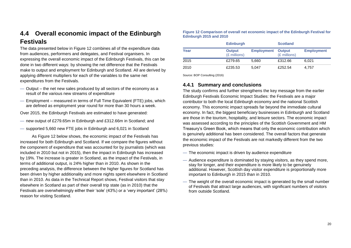# <span id="page-22-0"></span>**4.4 Overall economic impact of the Edinburgh Festivals**

The data presented below in Figure 12 combines all of the expenditure data from audiences, performers and delegates, and Festival organisers. In expressing the overall economic impact of the Edinburgh Festivals, this can be done in two different ways: by showing the net difference that the Festivals make to output and employment for Edinburgh and Scotland. All are derived by applying different multipliers for each of the variables to the same net expenditures from the Festivals.

- Output the net new sales produced by all sectors of the economy as a result of the various new streams of expenditure
- Employment measured in terms of Full Time Equivalent (FTE) jobs, which are defined as employment year round for more than 30 hours a week.

Over 2015, the Edinburgh Festivals are estimated to have generated:

- new output of £279.65m in Edinburgh and £312.66m in Scotland; and
- supported 5,660 new FTE jobs in Edinburgh and 6,021 in Scotland

As Figure 12 below shows, the economic impact of the Festivals has increased for both Edinburgh and Scotland. If we compare the figures without the component of expenditure that was accounted for by journalists (which was included in 2010 but not in 2015), then the impact in Edinburgh has increased by 19%. The increase is greater in Scotland, as the impact of the Festivals, in terms of additional output, is 24% higher than in 2010. As shown in the preceding analysis, the difference between the higher figures for Scotland has been driven by higher additionality and more nights spent elsewhere in Scotland than in 2010. As data in the Technical Report shows, Festival visitors that stay elsewhere in Scotland as part of their overall trip state (as in 2010) that the Festivals are overwhelmingly either their 'sole' (43%) or a 'very important' (28%) reason for visiting Scotland.

#### **Figure 12 Comparison of overall net economic impact of the Edinburgh Festival for Edinburgh 2015 and 2010**

|      | <b>Edinburgh</b>              |                   | <b>Scotland</b>               |                   |
|------|-------------------------------|-------------------|-------------------------------|-------------------|
| Year | <b>Output</b><br>(£ millions) | <b>Employment</b> | <b>Output</b><br>(£ millions) | <b>Employment</b> |
| 2015 | £279.65                       | 5.660             | £312.66                       | 6.021             |
| 2010 | £235.53                       | 5.047             | £252.54                       | 4.757             |

Source: BOP Consulting (2016)

## <span id="page-22-1"></span>**4.4.1 Summary and conclusions**

The study confirms and further strengthens the key message from the earlier Edinburgh Festivals Economic Impact Studies: the Festivals are a major contributor to both the local Edinburgh economy and the national Scottish economy. This economic impact spreads far beyond the immediate cultural economy. In fact, the biggest beneficiary businesses in Edinburgh and Scotland are those in the tourism, hospitality, and leisure sectors. The economic impact was assessed according to the principles of the Scottish Government and HM Treasury's Green Book, which means that only the economic contribution which is genuinely additional has been considered. The overall factors that generate the economic impact of the Festivals are not markedly different from the two previous studies:

- The economic impact is driven by audience expenditure
- Audience expenditure is dominated by staying visitors, as they spend more, stay for longer, and their expenditure is more likely to be genuinely additional. However, Scottish day visitor expenditure is proportionally more important to Edinburgh in 2015 than in 2010.
- The weight of the overall economic impact is generated by the small number of Festivals that attract large audiences, with significant numbers of visitors from outside Scotland.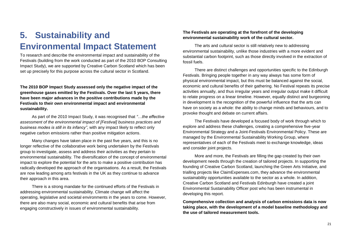# <span id="page-23-0"></span>**5. Sustainability and Environmental Impact Statement**

To research and describe the environmental impact and sustainability of the Festivals (building from the work conducted as part of the 2010 BOP Consulting Impact Study), we are supported by Creative Carbon Scotland which has been set up precisely for this purpose across the cultural sector in Scotland.

**The 2010 BOP Impact Study assessed only the negative impact of the greenhouse gases emitted by the Festivals. Over the last 5 years, there have been major advances in the positive contributions made by the Festivals to their own environmental impact and environmental sustainability.**

As part of the 2010 Impact Study, it was recognised that *"…the effective assessment of the environmental impact of [Festival] business practices and business modes is still in its infancy"*, with any impact likely to reflect only negative carbon emissions rather than positive mitigation actions.

Many changes have taken place in the past five years, and this is no longer reflective of the collaborative work being undertaken by the Festivals group to investigate, assess and address their activities as they pertain to environmental sustainability. The diversification of the concept of environmental impact to explore the potential for the arts to make a positive contribution has radically developed the approach of the organisations. As a result, the Festivals are now leading among arts festivals in the UK as they continue to advance their approach in this area.

There is a strong mandate for the continued efforts of the Festivals in addressing environmental sustainability. Climate change will affect the operating, legislative and societal environments in the years to come. However, there are also many social, economic and cultural benefits that arise from engaging constructively in issues of environmental sustainability.

### **The Festivals are operating at the forefront of the developing environmental sustainability work of the cultural sector.**

The arts and cultural sector is still relatively new to addressing environmental sustainability, unlike those industries with a more evident and substantial carbon footprint, such as those directly involved in the extraction of fossil fuels.

There are distinct challenges and opportunities specific to the Edinburgh Festivals. Bringing people together in any way always has some form of physical environmental impact, but this must be balanced against the social, economic and cultural benefits of their gathering. No Festival repeats its precise activities annually, and thus irregular years and irregular output make it difficult to relate progress on a linear timeline. However, equally distinct and burgeoning in development is the recognition of the powerful influence that the arts can have on society as a whole: the ability to change minds and behaviours, and to provoke thought and debate on current affairs.

The Festivals have developed a focused body of work through which to explore and address these challenges, creating a comprehensive five-year Environmental Strategy and a Joint-Festivals Environmental Policy. These are managed by the Environmental Sustainability Working Group, where representatives of each of the Festivals meet to exchange knowledge, ideas and consider joint projects.

More and more, the Festivals are filling the gap created by their own development needs through the creation of tailored projects. In supporting the founding of Creative Carbon Scotland, launching the Green Arts Initiative, and trialling projects like ClaimExpenses.com, they advance the environmental sustainability opportunities available to the sector as a whole. In addition, Creative Carbon Scotland and Festivals Edinburgh have created a joint Environmental Sustainability Officer post who has been instrumental in developing this report.

**Comprehensive collection and analysis of carbon emissions data is now taking place, with the development of a model baseline methodology and the use of tailored measurement tools.**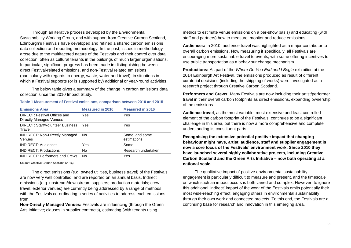Through an iterative process developed by the Environmental Sustainability Working Group, and with support from Creative Carbon Scotland, Edinburgh's Festivals have developed and refined a shared carbon emissions data collection and reporting methodology. In the past, issues in methodology arose due to the multifaceted nature of the Festivals and their control over data collection, often as cultural tenants in the buildings of much larger organisations. In particular, significant progress has been made in distinguishing between direct Festival-related emissions, and non-Festival related emissions (particularly with regards to energy, waste, water and travel), in situations in which a Festival supports (or is supported by) additional or year-round activities.

The below table gives a summary of the change in carbon emissions data collection since the 2010 Impact Study.

#### **Table 1 Measurement of Festival emissions, comparison between 2010 and 2015**

| <b>Emissions Area</b>                                   | <b>Measured in 2010</b> | <b>Measured in 2016</b>       |
|---------------------------------------------------------|-------------------------|-------------------------------|
| DIRECT: Festival Offices and<br>Directly Managed Venues | Yes                     | Yes                           |
| <b>DIRECT: Staff/Volunteer Business</b><br>Travel       | Yes                     | Yes                           |
| <b>INDIRECT: Non-Directly Managed</b><br>Venues         | No.                     | Some, and some<br>estimations |
| <b>INDIRECT: Audiences</b>                              | Yes                     | Some                          |
| <b>INDIRECT: Productions</b>                            | No                      | Research undertaken           |
| <b>INDIRECT: Performers and Crews</b>                   | No                      | Yes                           |

Source: Creative Carbon Scotland (2016)

The direct emissions (e.g. owned utilities, business travel) of the Festivals are now very well controlled, and are reported on an annual basis. Indirect emissions (e.g. upstream/downstream suppliers; production materials; crew travel; exterior venues) are currently being addressed by a range of methods, with the Festivals co-ordinating a series of activities to address each emissions from:

**Non-Directly Managed Venues:** Festivals are influencing (through the Green Arts Initiative; clauses in supplier contracts), estimating (with tenants using

metrics to estimate venue emissions on a per-show basis) and educating (with staff and partners) how to measure, monitor and reduce emissions.

**Audiences:** In 2010, audience travel was highlighted as a major contributor to overall carbon emissions. Now measuring it specifically, all Festivals are encouraging more sustainable travel to events, with some offering incentives to use public transportation as a behaviour change mechanism.

**Productions:** As part of the *Where Do You End and I Begin* exhibition at the 2014 Edinburgh Art Festival, the emissions produced as result of different curatorial decisions (including the shipping of works) were investigated as a research project through Creative Carbon Scotland.

**Performers and Crews:** Many Festivals are now including their artist/performer travel in their overall carbon footprints as direct emissions, expanding ownership of the emissions.

**Audience travel**, as the most variable, most extensive and least controlled element of the carbon footprint of the Festivals, continues to be a significant challenge in this area, but there is now a more comprehensive and complete understanding its constituent parts.

**Recognising the extensive potential positive impact that changing behaviour might have, artist, audience, staff and supplier engagement is now a core focus of the Festivals' environment work. Since 2010 they have launched several highly collaborative projects, including Creative Carbon Scotland and the Green Arts Initiative – now both operating at a national scale.** 

The qualitative impact of positive environmental sustainability engagement is particularly difficult to measure and present, and the timescale on which such an impact occurs is both varied and complex. However, to ignore this additional 'indirect' impact of the work of the Festivals omits potentially their most wide-reaching effect: engaging others in environmental sustainability through their own work and connected projects. To this end, the Festivals are a continuing base for research and innovation in this emerging area.